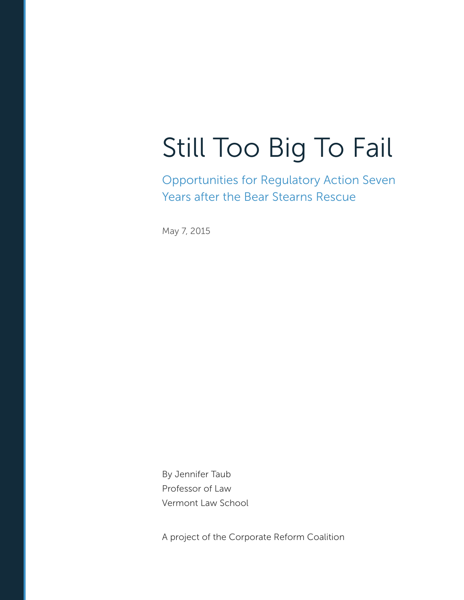# Still Too Big To Fail

Opportunities for Regulatory Action Seven Years after the Bear Stearns Rescue

May 7, 2015

By Jennifer Taub Professor of Law Vermont Law School

A project of the Corporate Reform Coalition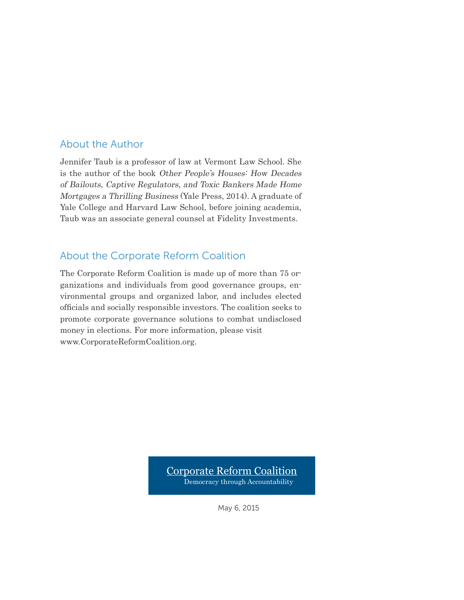### About the Author

Jennifer Taub is a professor of law at Vermont Law School. She is the author of the book Other People's Houses: How Decades of Bailouts, Captive Regulators, and Toxic Bankers Made Home Mortgages a Thrilling Business (Yale Press, 2014). A graduate of Yale College and Harvard Law School, before joining academia, Taub was an associate general counsel at Fidelity Investments.

### About the Corporate Reform Coalition

The Corporate Reform Coalition is made up of more than 75 organizations and individuals from good governance groups, environmental groups and organized labor, and includes elected officials and socially responsible investors. The coalition seeks to promote corporate governance solutions to combat undisclosed money in elections. For more information, please visit www.CorporateReformCoalition.org.

> Corporate Reform Coalition Democracy through Accountability

> > May 6, 2015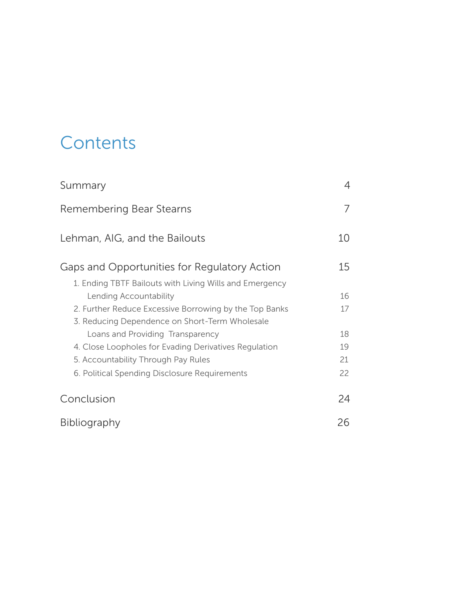# **Contents**

| Summary                                                                                                                                                                                                                                                                                                                                                                            | 4                                |
|------------------------------------------------------------------------------------------------------------------------------------------------------------------------------------------------------------------------------------------------------------------------------------------------------------------------------------------------------------------------------------|----------------------------------|
| Remembering Bear Stearns                                                                                                                                                                                                                                                                                                                                                           |                                  |
| Lehman, AIG, and the Bailouts                                                                                                                                                                                                                                                                                                                                                      | 10                               |
| Gaps and Opportunities for Regulatory Action                                                                                                                                                                                                                                                                                                                                       | 15                               |
| 1. Ending TBTF Bailouts with Living Wills and Emergency<br>Lending Accountability<br>2. Further Reduce Excessive Borrowing by the Top Banks<br>3. Reducing Dependence on Short-Term Wholesale<br>Loans and Providing Transparency<br>4. Close Loopholes for Evading Derivatives Regulation<br>5. Accountability Through Pay Rules<br>6. Political Spending Disclosure Requirements | 16<br>17<br>18<br>19<br>21<br>22 |
| Conclusion                                                                                                                                                                                                                                                                                                                                                                         | 24                               |
| <b>Bibliography</b>                                                                                                                                                                                                                                                                                                                                                                | 26                               |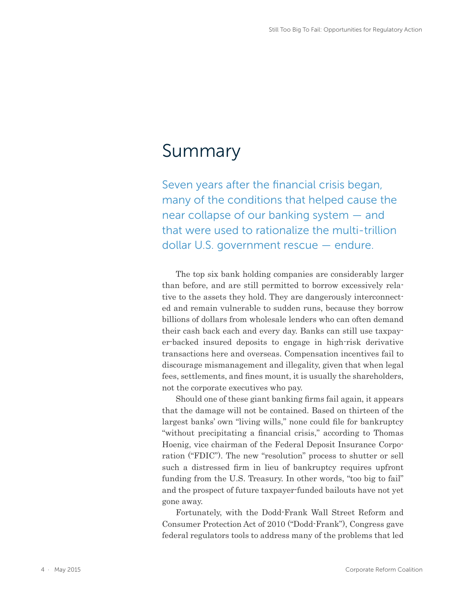## Summary

Seven years after the financial crisis began, many of the conditions that helped cause the near collapse of our banking system — and that were used to rationalize the multi-trillion dollar U.S. government rescue — endure.

The top six bank holding companies are considerably larger than before, and are still permitted to borrow excessively relative to the assets they hold. They are dangerously interconnected and remain vulnerable to sudden runs, because they borrow billions of dollars from wholesale lenders who can often demand their cash back each and every day. Banks can still use taxpayer-backed insured deposits to engage in high-risk derivative transactions here and overseas. Compensation incentives fail to discourage mismanagement and illegality, given that when legal fees, settlements, and fines mount, it is usually the shareholders, not the corporate executives who pay.

Should one of these giant banking firms fail again, it appears that the damage will not be contained. Based on thirteen of the largest banks' own "living wills," none could file for bankruptcy "without precipitating a financial crisis," according to Thomas Hoenig, vice chairman of the Federal Deposit Insurance Corporation ("FDIC"). The new "resolution" process to shutter or sell such a distressed firm in lieu of bankruptcy requires upfront funding from the U.S. Treasury. In other words, "too big to fail" and the prospect of future taxpayer-funded bailouts have not yet gone away.

Fortunately, with the Dodd-Frank Wall Street Reform and Consumer Protection Act of 2010 ("Dodd-Frank"), Congress gave federal regulators tools to address many of the problems that led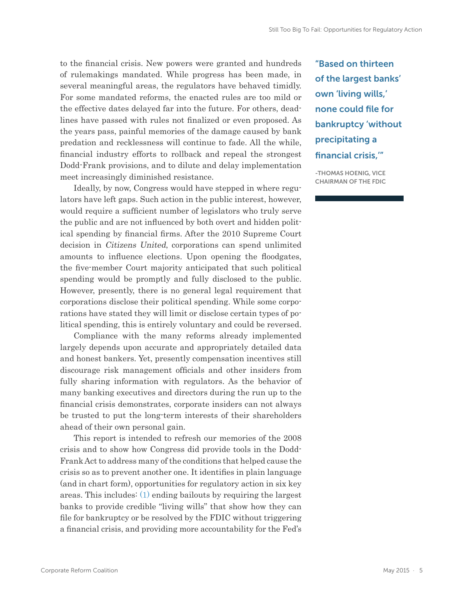to the financial crisis. New powers were granted and hundreds of rulemakings mandated. While progress has been made, in several meaningful areas, the regulators have behaved timidly. For some mandated reforms, the enacted rules are too mild or the effective dates delayed far into the future. For others, deadlines have passed with rules not finalized or even proposed. As the years pass, painful memories of the damage caused by bank predation and recklessness will continue to fade. All the while, financial industry efforts to rollback and repeal the strongest Dodd-Frank provisions, and to dilute and delay implementation meet increasingly diminished resistance.

Ideally, by now, Congress would have stepped in where regulators have left gaps. Such action in the public interest, however, would require a sufficient number of legislators who truly serve the public and are not influenced by both overt and hidden political spending by financial firms. After the 2010 Supreme Court decision in Citizens United, corporations can spend unlimited amounts to influence elections. Upon opening the floodgates, the five-member Court majority anticipated that such political spending would be promptly and fully disclosed to the public. However, presently, there is no general legal requirement that corporations disclose their political spending. While some corporations have stated they will limit or disclose certain types of political spending, this is entirely voluntary and could be reversed.

Compliance with the many reforms already implemented largely depends upon accurate and appropriately detailed data and honest bankers. Yet, presently compensation incentives still discourage risk management officials and other insiders from fully sharing information with regulators. As the behavior of many banking executives and directors during the run up to the financial crisis demonstrates, corporate insiders can not always be trusted to put the long-term interests of their shareholders ahead of their own personal gain.

This report is intended to refresh our memories of the 2008 crisis and to show how Congress did provide tools in the Dodd-Frank Act to address many of the conditions that helped cause the crisis so as to prevent another one. It identifies in plain language (and in chart form), opportunities for regulatory action in six key areas. This includes: (1) ending bailouts by requiring the largest banks to provide credible "living wills" that show how they can file for bankruptcy or be resolved by the FDIC without triggering a financial crisis, and providing more accountability for the Fed's "Based on thirteen of the largest banks' own 'living wills,' none could file for bankruptcy 'without precipitating a financial crisis,'"

-THOMAS HOENIG, VICE CHAIRMAN OF THE FDIC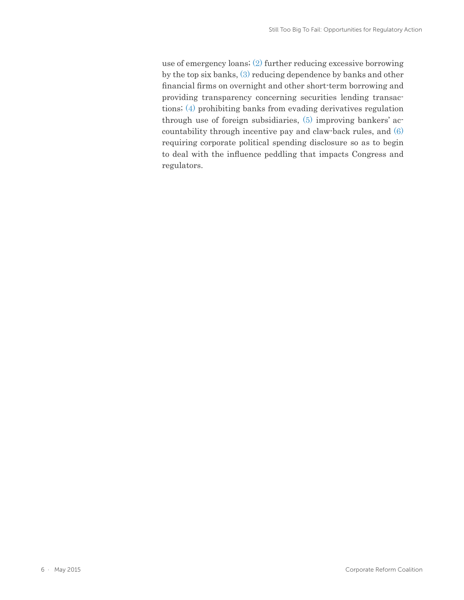use of emergency loans; (2) further reducing excessive borrowing by the top six banks, (3) reducing dependence by banks and other financial firms on overnight and other short-term borrowing and providing transparency concerning securities lending transactions; (4) prohibiting banks from evading derivatives regulation through use of foreign subsidiaries, (5) improving bankers' accountability through incentive pay and claw-back rules, and (6) requiring corporate political spending disclosure so as to begin to deal with the influence peddling that impacts Congress and regulators.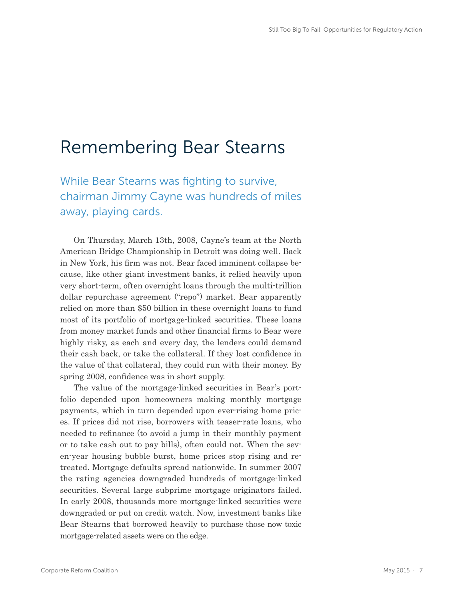### Remembering Bear Stearns

While Bear Stearns was fighting to survive, chairman Jimmy Cayne was hundreds of miles away, playing cards.

On Thursday, March 13th, 2008, Cayne's team at the North American Bridge Championship in Detroit was doing well. Back in New York, his firm was not. Bear faced imminent collapse because, like other giant investment banks, it relied heavily upon very short-term, often overnight loans through the multi-trillion dollar repurchase agreement ("repo") market. Bear apparently relied on more than \$50 billion in these overnight loans to fund most of its portfolio of mortgage-linked securities. These loans from money market funds and other financial firms to Bear were highly risky, as each and every day, the lenders could demand their cash back, or take the collateral. If they lost confidence in the value of that collateral, they could run with their money. By spring 2008, confidence was in short supply.

The value of the mortgage-linked securities in Bear's portfolio depended upon homeowners making monthly mortgage payments, which in turn depended upon ever-rising home prices. If prices did not rise, borrowers with teaser-rate loans, who needed to refinance (to avoid a jump in their monthly payment or to take cash out to pay bills), often could not. When the seven-year housing bubble burst, home prices stop rising and retreated. Mortgage defaults spread nationwide. In summer 2007 the rating agencies downgraded hundreds of mortgage-linked securities. Several large subprime mortgage originators failed. In early 2008, thousands more mortgage-linked securities were downgraded or put on credit watch. Now, investment banks like Bear Stearns that borrowed heavily to purchase those now toxic mortgage-related assets were on the edge.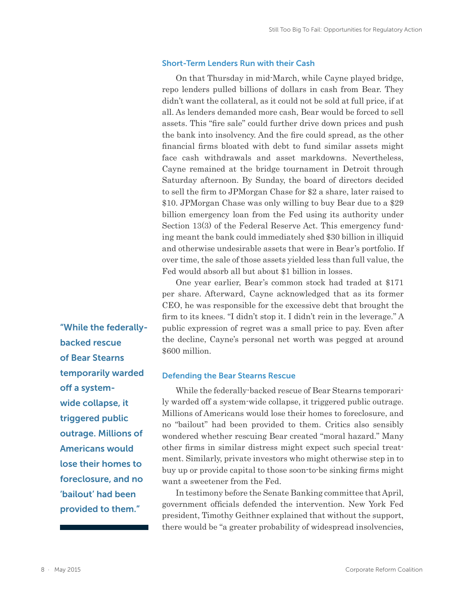#### Short-Term Lenders Run with their Cash

On that Thursday in mid-March, while Cayne played bridge, repo lenders pulled billions of dollars in cash from Bear. They didn't want the collateral, as it could not be sold at full price, if at all. As lenders demanded more cash, Bear would be forced to sell assets. This "fire sale" could further drive down prices and push the bank into insolvency. And the fire could spread, as the other financial firms bloated with debt to fund similar assets might face cash withdrawals and asset markdowns. Nevertheless, Cayne remained at the bridge tournament in Detroit through Saturday afternoon. By Sunday, the board of directors decided to sell the firm to JPMorgan Chase for \$2 a share, later raised to \$10. JPMorgan Chase was only willing to buy Bear due to a \$29 billion emergency loan from the Fed using its authority under Section 13(3) of the Federal Reserve Act. This emergency funding meant the bank could immediately shed \$30 billion in illiquid and otherwise undesirable assets that were in Bear's portfolio. If over time, the sale of those assets yielded less than full value, the Fed would absorb all but about \$1 billion in losses.

One year earlier, Bear's common stock had traded at \$171 per share. Afterward, Cayne acknowledged that as its former CEO, he was responsible for the excessive debt that brought the firm to its knees. "I didn't stop it. I didn't rein in the leverage." A public expression of regret was a small price to pay. Even after the decline, Cayne's personal net worth was pegged at around \$600 million.

#### Defending the Bear Stearns Rescue

While the federally-backed rescue of Bear Stearns temporarily warded off a system-wide collapse, it triggered public outrage. Millions of Americans would lose their homes to foreclosure, and no "bailout" had been provided to them. Critics also sensibly wondered whether rescuing Bear created "moral hazard." Many other firms in similar distress might expect such special treatment. Similarly, private investors who might otherwise step in to buy up or provide capital to those soon-to-be sinking firms might want a sweetener from the Fed.

In testimony before the Senate Banking committee that April, government officials defended the intervention. New York Fed president, Timothy Geithner explained that without the support, there would be "a greater probability of widespread insolvencies,

"While the federallybacked rescue of Bear Stearns temporarily warded off a systemwide collapse, it triggered public outrage. Millions of Americans would lose their homes to foreclosure, and no 'bailout' had been provided to them."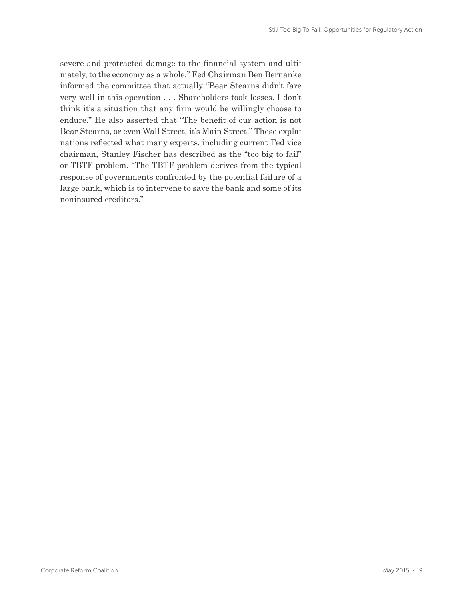severe and protracted damage to the financial system and ultimately, to the economy as a whole." Fed Chairman Ben Bernanke informed the committee that actually "Bear Stearns didn't fare very well in this operation . . . Shareholders took losses. I don't think it's a situation that any firm would be willingly choose to endure." He also asserted that "The benefit of our action is not Bear Stearns, or even Wall Street, it's Main Street." These explanations reflected what many experts, including current Fed vice chairman, Stanley Fischer has described as the "too big to fail" or TBTF problem. "The TBTF problem derives from the typical response of governments confronted by the potential failure of a large bank, which is to intervene to save the bank and some of its noninsured creditors."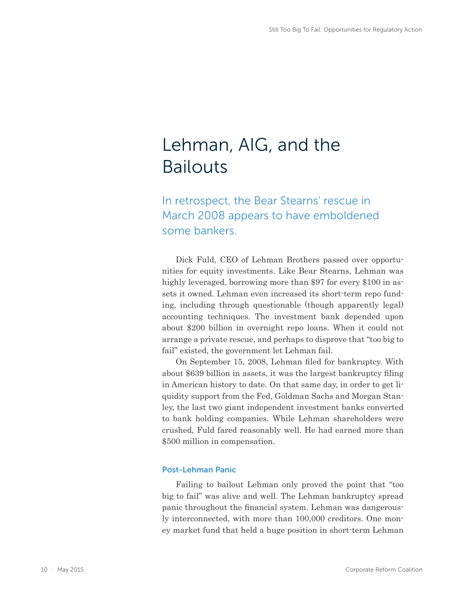# Lehman, AIG, and the Bailouts

In retrospect, the Bear Stearns' rescue in March 2008 appears to have emboldened some bankers.

Dick Fuld, CEO of Lehman Brothers passed over opportunities for equity investments. Like Bear Stearns, Lehman was highly leveraged, borrowing more than \$97 for every \$100 in assets it owned. Lehman even increased its short-term repo funding, including through questionable (though apparently legal) accounting techniques. The investment bank depended upon about \$200 billion in overnight repo loans. When it could not arrange a private rescue, and perhaps to disprove that "too big to fail" existed, the government let Lehman fail.

On September 15, 2008, Lehman filed for bankruptcy. With about \$639 billion in assets, it was the largest bankruptcy filing in American history to date. On that same day, in order to get liquidity support from the Fed, Goldman Sachs and Morgan Stanley, the last two giant independent investment banks converted to bank holding companies. While Lehman shareholders were crushed, Fuld fared reasonably well. He had earned more than \$500 million in compensation.

#### Post-Lehman Panic

Failing to bailout Lehman only proved the point that "too big to fail" was alive and well. The Lehman bankruptcy spread panic throughout the financial system. Lehman was dangerously interconnected, with more than 100,000 creditors. One money market fund that held a huge position in short-term Lehman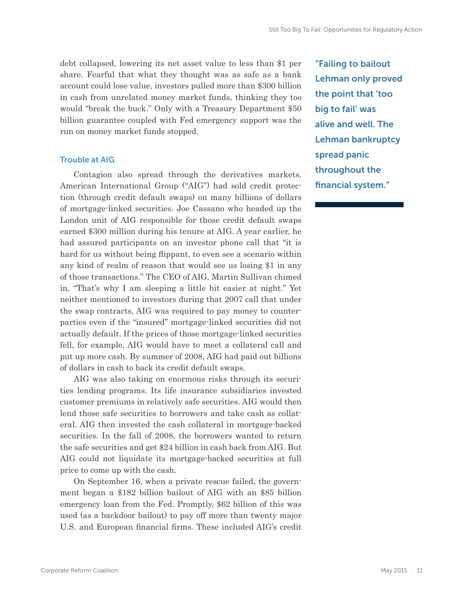debt collapsed, lowering its net asset value to less than \$1 per share. Fearful that what they thought was as safe as a bank account could lose value, investors pulled more than \$300 billion in cash from unrelated money market funds, thinking they too would "break the buck." Only with a Treasury Department \$50 billion guarantee coupled with Fed emergency support was the run on money market funds stopped.

#### Trouble at AIG

Contagion also spread through the derivatives markets. American International Group ("AIG") had sold credit protection (through credit default swaps) on many billions of dollars of mortgage-linked securities. Joe Cassano who headed up the London unit of AIG responsible for those credit default swaps earned \$300 million during his tenure at AIG. A year earlier, he had assured participants on an investor phone call that "it is hard for us without being flippant, to even see a scenario within any kind of realm of reason that would see us losing \$1 in any of those transactions." The CEO of AIG, Martin Sullivan chimed in, "That's why I am sleeping a little bit easier at night." Yet neither mentioned to investors during that 2007 call that under the swap contracts, AIG was required to pay money to counterparties even if the "insured" mortgage-linked securities did not actually default. If the prices of those mortgage-linked securities fell, for example, AIG would have to meet a collateral call and put up more cash. By summer of 2008, AIG had paid out billions of dollars in cash to back its credit default swaps.

AIG was also taking on enormous risks through its securities lending programs. Its life insurance subsidiaries invested customer premiums in relatively safe securities. AIG would then lend those safe securities to borrowers and take cash as collateral. AIG then invested the cash collateral in mortgage-backed securities. In the fall of 2008, the borrowers wanted to return the safe securities and get \$24 billion in cash back from AIG. But AIG could not liquidate its mortgage-backed securities at full price to come up with the cash.

On September 16, when a private rescue failed, the government began a \$182 billion bailout of AIG with an \$85 billion emergency loan from the Fed. Promptly, \$62 billion of this was used (as a backdoor bailout) to pay off more than twenty major U.S. and European financial firms. These included AIG's credit "Failing to bailout Lehman only proved the point that 'too big to fail' was alive and well. The Lehman bankruptcy spread panic throughout the financial system."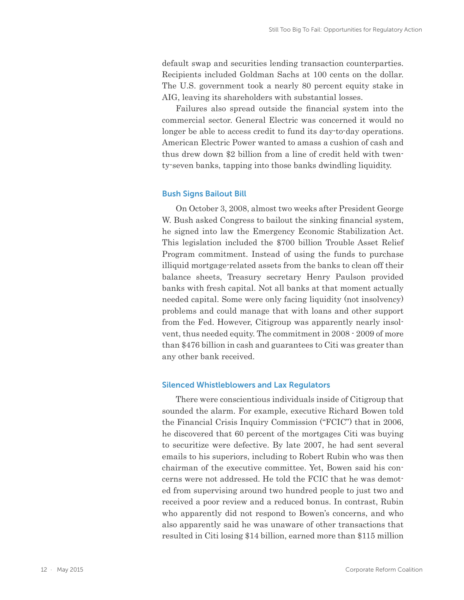default swap and securities lending transaction counterparties. Recipients included Goldman Sachs at 100 cents on the dollar. The U.S. government took a nearly 80 percent equity stake in AIG, leaving its shareholders with substantial losses.

Failures also spread outside the financial system into the commercial sector. General Electric was concerned it would no longer be able to access credit to fund its day-to-day operations. American Electric Power wanted to amass a cushion of cash and thus drew down \$2 billion from a line of credit held with twenty-seven banks, tapping into those banks dwindling liquidity.

#### Bush Signs Bailout Bill

On October 3, 2008, almost two weeks after President George W. Bush asked Congress to bailout the sinking financial system, he signed into law the Emergency Economic Stabilization Act. This legislation included the \$700 billion Trouble Asset Relief Program commitment. Instead of using the funds to purchase illiquid mortgage-related assets from the banks to clean off their balance sheets, Treasury secretary Henry Paulson provided banks with fresh capital. Not all banks at that moment actually needed capital. Some were only facing liquidity (not insolvency) problems and could manage that with loans and other support from the Fed. However, Citigroup was apparently nearly insolvent, thus needed equity. The commitment in 2008 - 2009 of more than \$476 billion in cash and guarantees to Citi was greater than any other bank received.

#### Silenced Whistleblowers and Lax Regulators

There were conscientious individuals inside of Citigroup that sounded the alarm. For example, executive Richard Bowen told the Financial Crisis Inquiry Commission ("FCIC") that in 2006, he discovered that 60 percent of the mortgages Citi was buying to securitize were defective. By late 2007, he had sent several emails to his superiors, including to Robert Rubin who was then chairman of the executive committee. Yet, Bowen said his concerns were not addressed. He told the FCIC that he was demoted from supervising around two hundred people to just two and received a poor review and a reduced bonus. In contrast, Rubin who apparently did not respond to Bowen's concerns, and who also apparently said he was unaware of other transactions that resulted in Citi losing \$14 billion, earned more than \$115 million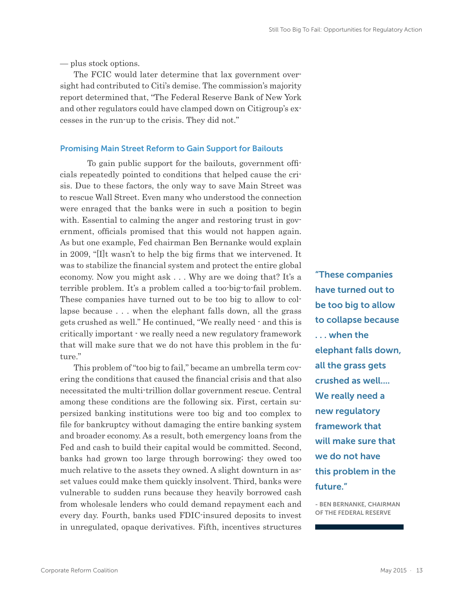— plus stock options.

The FCIC would later determine that lax government oversight had contributed to Citi's demise. The commission's majority report determined that, "The Federal Reserve Bank of New York and other regulators could have clamped down on Citigroup's excesses in the run-up to the crisis. They did not."

#### Promising Main Street Reform to Gain Support for Bailouts

To gain public support for the bailouts, government officials repeatedly pointed to conditions that helped cause the crisis. Due to these factors, the only way to save Main Street was to rescue Wall Street. Even many who understood the connection were enraged that the banks were in such a position to begin with. Essential to calming the anger and restoring trust in government, officials promised that this would not happen again. As but one example, Fed chairman Ben Bernanke would explain in 2009, "[I]t wasn't to help the big firms that we intervened. It was to stabilize the financial system and protect the entire global economy. Now you might ask . . . Why are we doing that? It's a terrible problem. It's a problem called a too-big-to-fail problem. These companies have turned out to be too big to allow to collapse because . . . when the elephant falls down, all the grass gets crushed as well." He continued, "We really need - and this is critically important - we really need a new regulatory framework that will make sure that we do not have this problem in the future."

This problem of "too big to fail," became an umbrella term covering the conditions that caused the financial crisis and that also necessitated the multi-trillion dollar government rescue. Central among these conditions are the following six. First, certain supersized banking institutions were too big and too complex to file for bankruptcy without damaging the entire banking system and broader economy. As a result, both emergency loans from the Fed and cash to build their capital would be committed. Second, banks had grown too large through borrowing; they owed too much relative to the assets they owned. A slight downturn in asset values could make them quickly insolvent. Third, banks were vulnerable to sudden runs because they heavily borrowed cash from wholesale lenders who could demand repayment each and every day. Fourth, banks used FDIC-insured deposits to invest in unregulated, opaque derivatives. Fifth, incentives structures

"These companies have turned out to be too big to allow to collapse because . . . when the elephant falls down, all the grass gets crushed as well.... We really need a new regulatory framework that will make sure that we do not have this problem in the future."

- BEN BERNANKE, CHAIRMAN OF THE FEDERAL RESERVE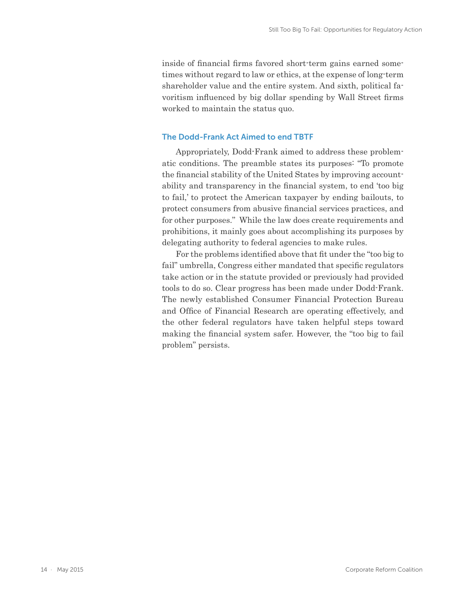inside of financial firms favored short-term gains earned sometimes without regard to law or ethics, at the expense of long-term shareholder value and the entire system. And sixth, political favoritism influenced by big dollar spending by Wall Street firms worked to maintain the status quo.

#### The Dodd-Frank Act Aimed to end TBTF

Appropriately, Dodd-Frank aimed to address these problematic conditions. The preamble states its purposes: "To promote the financial stability of the United States by improving accountability and transparency in the financial system, to end 'too big to fail,' to protect the American taxpayer by ending bailouts, to protect consumers from abusive financial services practices, and for other purposes." While the law does create requirements and prohibitions, it mainly goes about accomplishing its purposes by delegating authority to federal agencies to make rules.

For the problems identified above that fit under the "too big to fail" umbrella, Congress either mandated that specific regulators take action or in the statute provided or previously had provided tools to do so. Clear progress has been made under Dodd-Frank. The newly established Consumer Financial Protection Bureau and Office of Financial Research are operating effectively, and the other federal regulators have taken helpful steps toward making the financial system safer. However, the "too big to fail problem" persists.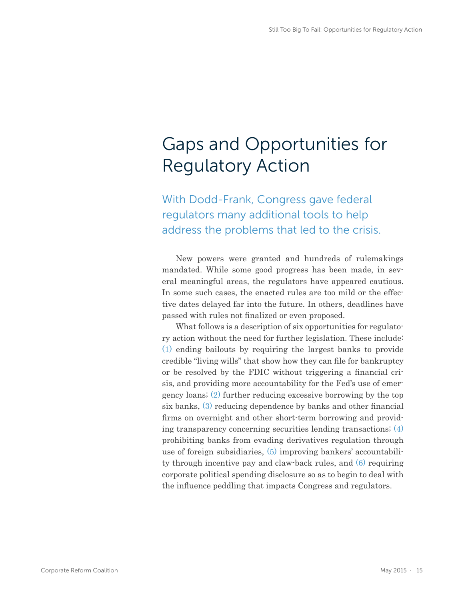# Gaps and Opportunities for Regulatory Action

With Dodd-Frank, Congress gave federal regulators many additional tools to help address the problems that led to the crisis.

New powers were granted and hundreds of rulemakings mandated. While some good progress has been made, in several meaningful areas, the regulators have appeared cautious. In some such cases, the enacted rules are too mild or the effective dates delayed far into the future. In others, deadlines have passed with rules not finalized or even proposed.

What follows is a description of six opportunities for regulatory action without the need for further legislation. These include: (1) ending bailouts by requiring the largest banks to provide credible "living wills" that show how they can file for bankruptcy or be resolved by the FDIC without triggering a financial crisis, and providing more accountability for the Fed's use of emergency loans; (2) further reducing excessive borrowing by the top six banks, (3) reducing dependence by banks and other financial firms on overnight and other short-term borrowing and providing transparency concerning securities lending transactions; (4) prohibiting banks from evading derivatives regulation through use of foreign subsidiaries, (5) improving bankers' accountability through incentive pay and claw-back rules, and (6) requiring corporate political spending disclosure so as to begin to deal with the influence peddling that impacts Congress and regulators.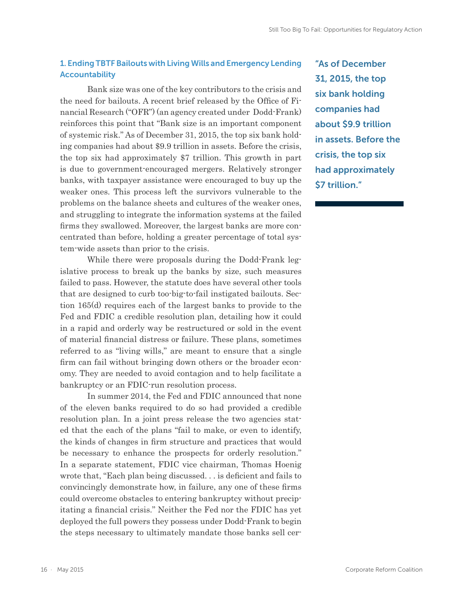### 1. Ending TBTF Bailouts with Living Wills and Emergency Lending Accountability

Bank size was one of the key contributors to the crisis and the need for bailouts. A recent brief released by the Office of Financial Research ("OFR") (an agency created under Dodd-Frank) reinforces this point that "Bank size is an important component of systemic risk." As of December 31, 2015, the top six bank holding companies had about \$9.9 trillion in assets. Before the crisis, the top six had approximately \$7 trillion. This growth in part is due to government-encouraged mergers. Relatively stronger banks, with taxpayer assistance were encouraged to buy up the weaker ones. This process left the survivors vulnerable to the problems on the balance sheets and cultures of the weaker ones, and struggling to integrate the information systems at the failed firms they swallowed. Moreover, the largest banks are more concentrated than before, holding a greater percentage of total system-wide assets than prior to the crisis.

While there were proposals during the Dodd-Frank legislative process to break up the banks by size, such measures failed to pass. However, the statute does have several other tools that are designed to curb too-big-to-fail instigated bailouts. Section 165(d) requires each of the largest banks to provide to the Fed and FDIC a credible resolution plan, detailing how it could in a rapid and orderly way be restructured or sold in the event of material financial distress or failure. These plans, sometimes referred to as "living wills," are meant to ensure that a single firm can fail without bringing down others or the broader economy. They are needed to avoid contagion and to help facilitate a bankruptcy or an FDIC-run resolution process.

In summer 2014, the Fed and FDIC announced that none of the eleven banks required to do so had provided a credible resolution plan. In a joint press release the two agencies stated that the each of the plans "fail to make, or even to identify, the kinds of changes in firm structure and practices that would be necessary to enhance the prospects for orderly resolution." In a separate statement, FDIC vice chairman, Thomas Hoenig wrote that, "Each plan being discussed. . . is deficient and fails to convincingly demonstrate how, in failure, any one of these firms could overcome obstacles to entering bankruptcy without precipitating a financial crisis." Neither the Fed nor the FDIC has yet deployed the full powers they possess under Dodd-Frank to begin the steps necessary to ultimately mandate those banks sell cer-

"As of December 31, 2015, the top six bank holding companies had about \$9.9 trillion in assets. Before the crisis, the top six had approximately \$7 trillion."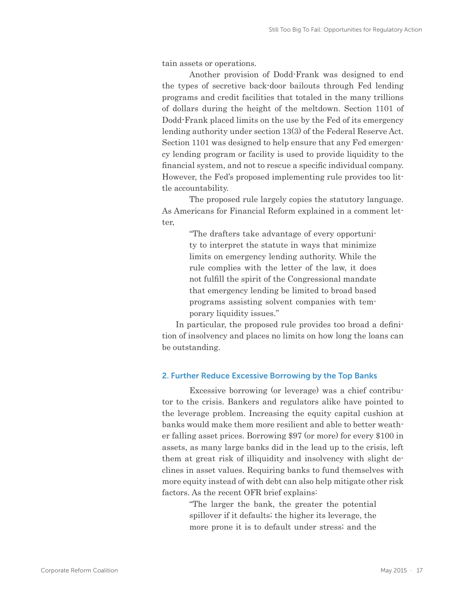tain assets or operations.

Another provision of Dodd-Frank was designed to end the types of secretive back-door bailouts through Fed lending programs and credit facilities that totaled in the many trillions of dollars during the height of the meltdown. Section 1101 of Dodd-Frank placed limits on the use by the Fed of its emergency lending authority under section 13(3) of the Federal Reserve Act. Section 1101 was designed to help ensure that any Fed emergency lending program or facility is used to provide liquidity to the financial system, and not to rescue a specific individual company. However, the Fed's proposed implementing rule provides too little accountability.

The proposed rule largely copies the statutory language. As Americans for Financial Reform explained in a comment letter,

> "The drafters take advantage of every opportunity to interpret the statute in ways that minimize limits on emergency lending authority. While the rule complies with the letter of the law, it does not fulfill the spirit of the Congressional mandate that emergency lending be limited to broad based programs assisting solvent companies with temporary liquidity issues."

In particular, the proposed rule provides too broad a definition of insolvency and places no limits on how long the loans can be outstanding.

#### 2. Further Reduce Excessive Borrowing by the Top Banks

Excessive borrowing (or leverage) was a chief contributor to the crisis. Bankers and regulators alike have pointed to the leverage problem. Increasing the equity capital cushion at banks would make them more resilient and able to better weather falling asset prices. Borrowing \$97 (or more) for every \$100 in assets, as many large banks did in the lead up to the crisis, left them at great risk of illiquidity and insolvency with slight declines in asset values. Requiring banks to fund themselves with more equity instead of with debt can also help mitigate other risk factors. As the recent OFR brief explains:

> "The larger the bank, the greater the potential spillover if it defaults; the higher its leverage, the more prone it is to default under stress; and the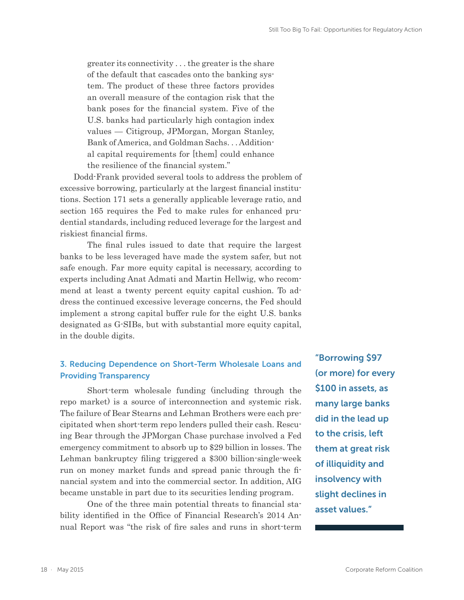greater its connectivity . . . the greater is the share of the default that cascades onto the banking system. The product of these three factors provides an overall measure of the contagion risk that the bank poses for the financial system. Five of the U.S. banks had particularly high contagion index values — Citigroup, JPMorgan, Morgan Stanley, Bank of America, and Goldman Sachs. . . Additional capital requirements for [them] could enhance the resilience of the financial system."

Dodd-Frank provided several tools to address the problem of excessive borrowing, particularly at the largest financial institutions. Section 171 sets a generally applicable leverage ratio, and section 165 requires the Fed to make rules for enhanced prudential standards, including reduced leverage for the largest and riskiest financial firms.

The final rules issued to date that require the largest banks to be less leveraged have made the system safer, but not safe enough. Far more equity capital is necessary, according to experts including Anat Admati and Martin Hellwig, who recommend at least a twenty percent equity capital cushion. To address the continued excessive leverage concerns, the Fed should implement a strong capital buffer rule for the eight U.S. banks designated as G-SIBs, but with substantial more equity capital, in the double digits.

### 3. Reducing Dependence on Short-Term Wholesale Loans and Providing Transparency

Short-term wholesale funding (including through the repo market) is a source of interconnection and systemic risk. The failure of Bear Stearns and Lehman Brothers were each precipitated when short-term repo lenders pulled their cash. Rescuing Bear through the JPMorgan Chase purchase involved a Fed emergency commitment to absorb up to \$29 billion in losses. The Lehman bankruptcy filing triggered a \$300 billion-single-week run on money market funds and spread panic through the financial system and into the commercial sector. In addition, AIG became unstable in part due to its securities lending program.

One of the three main potential threats to financial stability identified in the Office of Financial Research's 2014 Annual Report was "the risk of fire sales and runs in short-term

"Borrowing \$97 (or more) for every \$100 in assets, as many large banks did in the lead up to the crisis, left them at great risk of illiquidity and insolvency with slight declines in asset values."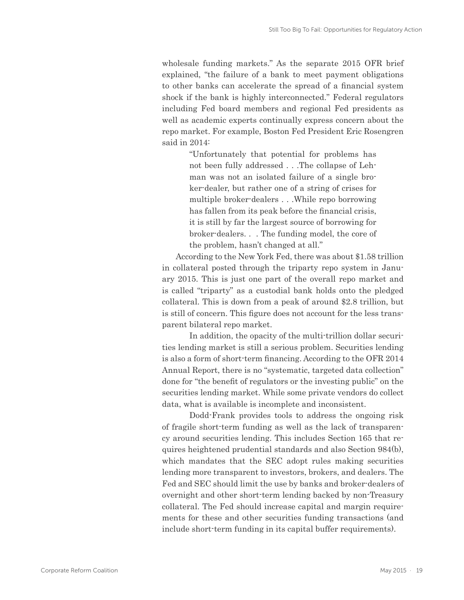wholesale funding markets." As the separate 2015 OFR brief explained, "the failure of a bank to meet payment obligations to other banks can accelerate the spread of a financial system shock if the bank is highly interconnected." Federal regulators including Fed board members and regional Fed presidents as well as academic experts continually express concern about the repo market. For example, Boston Fed President Eric Rosengren said in 2014:

> "Unfortunately that potential for problems has not been fully addressed . . .The collapse of Lehman was not an isolated failure of a single broker-dealer, but rather one of a string of crises for multiple broker-dealers . . .While repo borrowing has fallen from its peak before the financial crisis, it is still by far the largest source of borrowing for broker-dealers. . . The funding model, the core of the problem, hasn't changed at all."

According to the New York Fed, there was about \$1.58 trillion in collateral posted through the triparty repo system in January 2015. This is just one part of the overall repo market and is called "triparty" as a custodial bank holds onto the pledged collateral. This is down from a peak of around \$2.8 trillion, but is still of concern. This figure does not account for the less transparent bilateral repo market.

In addition, the opacity of the multi-trillion dollar securities lending market is still a serious problem. Securities lending is also a form of short-term financing. According to the OFR 2014 Annual Report, there is no "systematic, targeted data collection" done for "the benefit of regulators or the investing public" on the securities lending market. While some private vendors do collect data, what is available is incomplete and inconsistent.

Dodd-Frank provides tools to address the ongoing risk of fragile short-term funding as well as the lack of transparency around securities lending. This includes Section 165 that requires heightened prudential standards and also Section 984(b), which mandates that the SEC adopt rules making securities lending more transparent to investors, brokers, and dealers. The Fed and SEC should limit the use by banks and broker-dealers of overnight and other short-term lending backed by non-Treasury collateral. The Fed should increase capital and margin requirements for these and other securities funding transactions (and include short-term funding in its capital buffer requirements).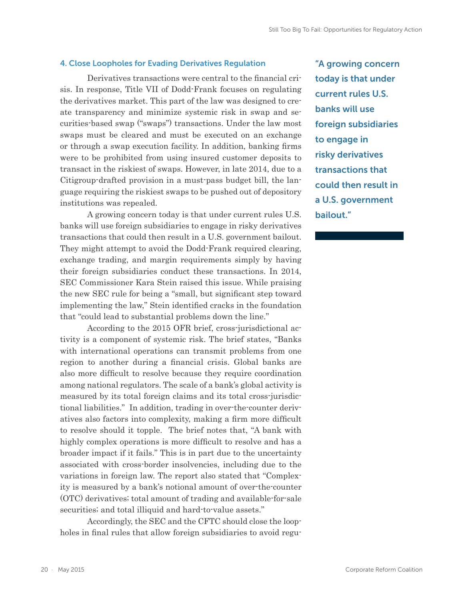#### 4. Close Loopholes for Evading Derivatives Regulation

Derivatives transactions were central to the financial crisis. In response, Title VII of Dodd-Frank focuses on regulating the derivatives market. This part of the law was designed to create transparency and minimize systemic risk in swap and securities-based swap ("swaps") transactions. Under the law most swaps must be cleared and must be executed on an exchange or through a swap execution facility. In addition, banking firms were to be prohibited from using insured customer deposits to transact in the riskiest of swaps. However, in late 2014, due to a Citigroup-drafted provision in a must-pass budget bill, the language requiring the riskiest swaps to be pushed out of depository institutions was repealed.

A growing concern today is that under current rules U.S. banks will use foreign subsidiaries to engage in risky derivatives transactions that could then result in a U.S. government bailout. They might attempt to avoid the Dodd-Frank required clearing, exchange trading, and margin requirements simply by having their foreign subsidiaries conduct these transactions. In 2014, SEC Commissioner Kara Stein raised this issue. While praising the new SEC rule for being a "small, but significant step toward implementing the law," Stein identified cracks in the foundation that "could lead to substantial problems down the line."

According to the 2015 OFR brief, cross-jurisdictional activity is a component of systemic risk. The brief states, "Banks with international operations can transmit problems from one region to another during a financial crisis. Global banks are also more difficult to resolve because they require coordination among national regulators. The scale of a bank's global activity is measured by its total foreign claims and its total cross-jurisdictional liabilities." In addition, trading in over-the-counter derivatives also factors into complexity, making a firm more difficult to resolve should it topple. The brief notes that, "A bank with highly complex operations is more difficult to resolve and has a broader impact if it fails." This is in part due to the uncertainty associated with cross-border insolvencies, including due to the variations in foreign law. The report also stated that "Complexity is measured by a bank's notional amount of over-the-counter (OTC) derivatives; total amount of trading and available-for-sale securities; and total illiquid and hard-to-value assets."

Accordingly, the SEC and the CFTC should close the loopholes in final rules that allow foreign subsidiaries to avoid regu-

"A growing concern today is that under current rules U.S. banks will use foreign subsidiaries to engage in risky derivatives transactions that could then result in a U.S. government bailout."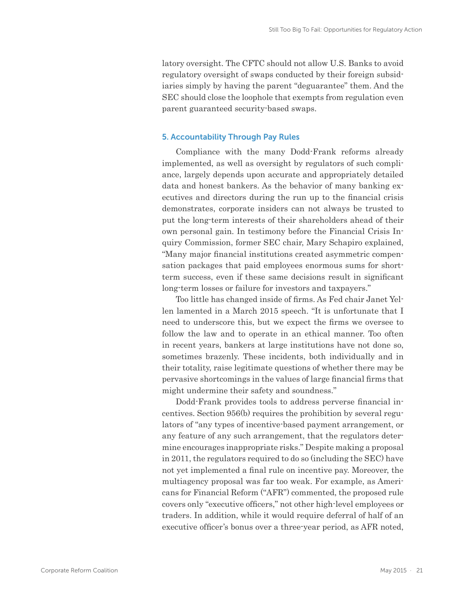latory oversight. The CFTC should not allow U.S. Banks to avoid regulatory oversight of swaps conducted by their foreign subsidiaries simply by having the parent "deguarantee" them. And the SEC should close the loophole that exempts from regulation even parent guaranteed security-based swaps.

#### 5. Accountability Through Pay Rules

Compliance with the many Dodd-Frank reforms already implemented, as well as oversight by regulators of such compliance, largely depends upon accurate and appropriately detailed data and honest bankers. As the behavior of many banking executives and directors during the run up to the financial crisis demonstrates, corporate insiders can not always be trusted to put the long-term interests of their shareholders ahead of their own personal gain. In testimony before the Financial Crisis Inquiry Commission, former SEC chair, Mary Schapiro explained, "Many major financial institutions created asymmetric compensation packages that paid employees enormous sums for shortterm success, even if these same decisions result in significant long-term losses or failure for investors and taxpayers."

Too little has changed inside of firms. As Fed chair Janet Yellen lamented in a March 2015 speech. "It is unfortunate that I need to underscore this, but we expect the firms we oversee to follow the law and to operate in an ethical manner. Too often in recent years, bankers at large institutions have not done so, sometimes brazenly. These incidents, both individually and in their totality, raise legitimate questions of whether there may be pervasive shortcomings in the values of large financial firms that might undermine their safety and soundness."

Dodd-Frank provides tools to address perverse financial incentives. Section 956(b) requires the prohibition by several regulators of "any types of incentive-based payment arrangement, or any feature of any such arrangement, that the regulators determine encourages inappropriate risks." Despite making a proposal in 2011, the regulators required to do so (including the SEC) have not yet implemented a final rule on incentive pay. Moreover, the multiagency proposal was far too weak. For example, as Americans for Financial Reform ("AFR") commented, the proposed rule covers only "executive officers," not other high-level employees or traders. In addition, while it would require deferral of half of an executive officer's bonus over a three-year period, as AFR noted,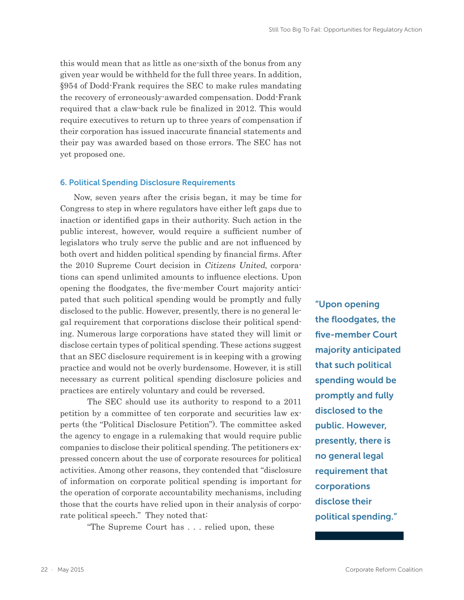this would mean that as little as one-sixth of the bonus from any given year would be withheld for the full three years. In addition, §954 of Dodd-Frank requires the SEC to make rules mandating the recovery of erroneously-awarded compensation. Dodd-Frank required that a claw-back rule be finalized in 2012. This would require executives to return up to three years of compensation if their corporation has issued inaccurate financial statements and their pay was awarded based on those errors. The SEC has not yet proposed one.

#### 6. Political Spending Disclosure Requirements

Now, seven years after the crisis began, it may be time for Congress to step in where regulators have either left gaps due to inaction or identified gaps in their authority. Such action in the public interest, however, would require a sufficient number of legislators who truly serve the public and are not influenced by both overt and hidden political spending by financial firms. After the 2010 Supreme Court decision in Citizens United, corporations can spend unlimited amounts to influence elections. Upon opening the floodgates, the five-member Court majority anticipated that such political spending would be promptly and fully disclosed to the public. However, presently, there is no general legal requirement that corporations disclose their political spending. Numerous large corporations have stated they will limit or disclose certain types of political spending. These actions suggest that an SEC disclosure requirement is in keeping with a growing practice and would not be overly burdensome. However, it is still necessary as current political spending disclosure policies and practices are entirely voluntary and could be reversed.

The SEC should use its authority to respond to a 2011 petition by a committee of ten corporate and securities law experts (the "Political Disclosure Petition"). The committee asked the agency to engage in a rulemaking that would require public companies to disclose their political spending. The petitioners expressed concern about the use of corporate resources for political activities. Among other reasons, they contended that "disclosure of information on corporate political spending is important for the operation of corporate accountability mechanisms, including those that the courts have relied upon in their analysis of corporate political speech." They noted that:

"The Supreme Court has . . . relied upon, these

"Upon opening the floodgates, the five-member Court majority anticipated that such political spending would be promptly and fully disclosed to the public. However, presently, there is no general legal requirement that corporations disclose their political spending."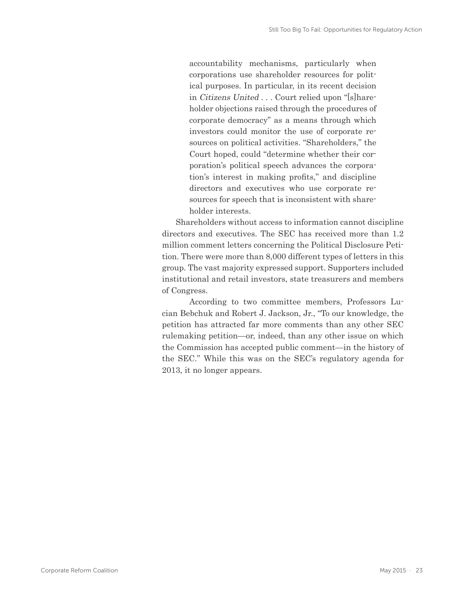accountability mechanisms, particularly when corporations use shareholder resources for political purposes. In particular, in its recent decision in Citizens United . . . Court relied upon "[s]hareholder objections raised through the procedures of corporate democracy" as a means through which investors could monitor the use of corporate resources on political activities. "Shareholders," the Court hoped, could "determine whether their corporation's political speech advances the corporation's interest in making profits," and discipline directors and executives who use corporate resources for speech that is inconsistent with shareholder interests.

Shareholders without access to information cannot discipline directors and executives. The SEC has received more than 1.2 million comment letters concerning the Political Disclosure Petition. There were more than 8,000 different types of letters in this group. The vast majority expressed support. Supporters included institutional and retail investors, state treasurers and members of Congress.

According to two committee members, Professors Lucian Bebchuk and Robert J. Jackson, Jr., "To our knowledge, the petition has attracted far more comments than any other SEC rulemaking petition—or, indeed, than any other issue on which the Commission has accepted public comment—in the history of the SEC." While this was on the SEC's regulatory agenda for 2013, it no longer appears.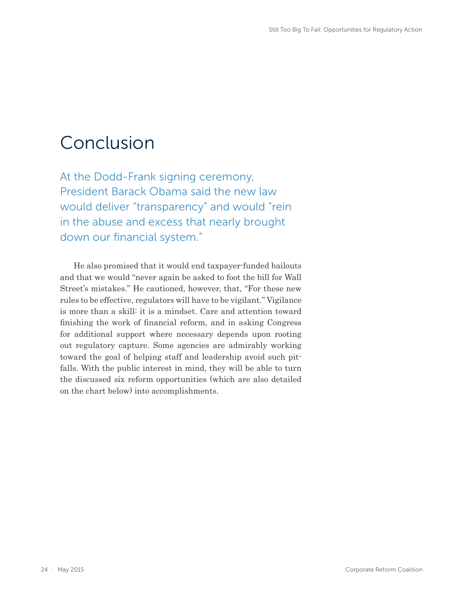### Conclusion

At the Dodd-Frank signing ceremony, President Barack Obama said the new law would deliver "transparency" and would "rein in the abuse and excess that nearly brought down our financial system."

He also promised that it would end taxpayer-funded bailouts and that we would "never again be asked to foot the bill for Wall Street's mistakes." He cautioned, however, that, "For these new rules to be effective, regulators will have to be vigilant." Vigilance is more than a skill: it is a mindset. Care and attention toward finishing the work of financial reform, and in asking Congress for additional support where necessary depends upon rooting out regulatory capture. Some agencies are admirably working toward the goal of helping staff and leadership avoid such pitfalls. With the public interest in mind, they will be able to turn the discussed six reform opportunities (which are also detailed on the chart below) into accomplishments.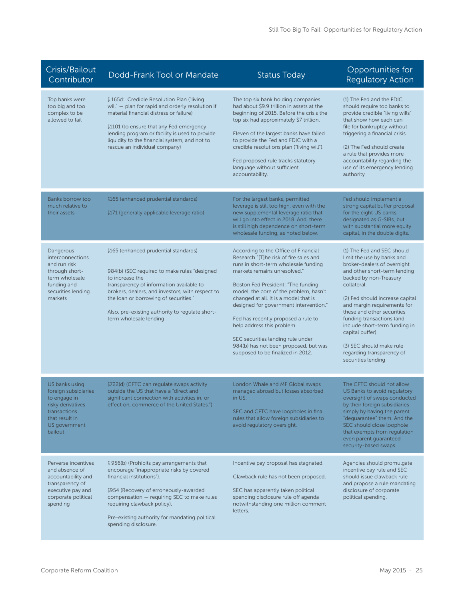| Crisis/Bailout<br>Contributor                                                                                                             | Dodd-Frank Tool or Mandate                                                                                                                                                                                                                                                                                                    | <b>Status Today</b>                                                                                                                                                                                                                                                                                                                                                                                                                                                                                               | Opportunities for<br><b>Regulatory Action</b>                                                                                                                                                                                                                                                                                                                                                                                     |
|-------------------------------------------------------------------------------------------------------------------------------------------|-------------------------------------------------------------------------------------------------------------------------------------------------------------------------------------------------------------------------------------------------------------------------------------------------------------------------------|-------------------------------------------------------------------------------------------------------------------------------------------------------------------------------------------------------------------------------------------------------------------------------------------------------------------------------------------------------------------------------------------------------------------------------------------------------------------------------------------------------------------|-----------------------------------------------------------------------------------------------------------------------------------------------------------------------------------------------------------------------------------------------------------------------------------------------------------------------------------------------------------------------------------------------------------------------------------|
| Top banks were<br>too big and too<br>complex to be<br>allowed to fail                                                                     | § 165d: Credible Resolution Plan ("living<br>will" - plan for rapid and orderly resolution if<br>material financial distress or failure)<br>\$1101 (to ensure that any Fed emergency<br>lending program or facility is used to provide<br>liquidity to the financial system, and not to<br>rescue an individual company)      | The top six bank holding companies<br>had about \$9.9 trillion in assets at the<br>beginning of 2015. Before the crisis the<br>top six had approximately \$7 trillion.<br>Eleven of the largest banks have failed<br>to provide the Fed and FDIC with a<br>credible resolutions plan ("living will").<br>Fed proposed rule tracks statutory<br>language without sufficient<br>accountability.                                                                                                                     | (1) The Fed and the FDIC<br>should require top banks to<br>provide credible "living wills"<br>that show how each can<br>file for bankruptcy without<br>triggering a financial crisis<br>(2) The Fed should create<br>a rule that provides more<br>accountability regarding the<br>use of its emergency lending<br>authority                                                                                                       |
| Banks borrow too<br>much relative to<br>their assets                                                                                      | §165 (enhanced prudential standards)<br>§171 (generally applicable leverage ratio)                                                                                                                                                                                                                                            | For the largest banks, permitted<br>leverage is still too high, even with the<br>new supplemental leverage ratio that<br>will go into effect in 2018. And, there<br>is still high dependence on short-term<br>wholesale funding, as noted below.                                                                                                                                                                                                                                                                  | Fed should implement a<br>strong capital buffer proposal<br>for the eight US banks<br>designated as G-SIBs, but<br>with substantial more equity<br>capital, in the double digits.                                                                                                                                                                                                                                                 |
| Dangerous<br>interconnections<br>and run risk<br>through short-<br>term wholesale<br>funding and<br>securities lending<br>markets         | §165 (enhanced prudential standards)<br>984(b) (SEC required to make rules "designed<br>to increase the<br>transparency of information available to<br>brokers, dealers, and investors, with respect to<br>the loan or borrowing of securities."<br>Also, pre-existing authority to regulate short-<br>term wholesale lending | According to the Office of Financial<br>Research "[T]he risk of fire sales and<br>runs in short-term wholesale funding<br>markets remains unresolved."<br>Boston Fed President: "The funding<br>model, the core of the problem, hasn't<br>changed at all. It is a model that is<br>designed for government intervention."<br>Fed has recently proposed a rule to<br>help address this problem.<br>SEC securities lending rule under<br>984(b) has not been proposed, but was<br>supposed to be finalized in 2012. | (1) The Fed and SEC should<br>limit the use by banks and<br>broker-dealers of overnight<br>and other short-term lending<br>backed by non-Treasury<br>collateral.<br>(2) Fed should increase capital<br>and margin requirements for<br>these and other securities<br>funding transactions (and<br>include short-term funding in<br>capital buffer).<br>(3) SEC should make rule<br>regarding transparency of<br>securities lending |
| US banks using<br>foreign subsidiaries<br>to engage in<br>risky derivatives<br>transactions<br>that result in<br>US government<br>bailout | §722(d) (CFTC can regulate swaps activity<br>outside the US that have a "direct and<br>significant connection with activities in, or<br>effect on, commerce of the United States.")                                                                                                                                           | London Whale and MF Global swaps<br>managed abroad but losses absorbed<br>in US.<br>SEC and CFTC have loopholes in final<br>rules that allow foreign subsidiaries to<br>avoid regulatory oversight.                                                                                                                                                                                                                                                                                                               | The CFTC should not allow<br>US Banks to avoid regulatory<br>oversight of swaps conducted<br>by their foreign subsidiaries<br>simply by having the parent<br>"deguarantee" them. And the<br>SEC should close loophole<br>that exempts from regulation<br>even parent guaranteed<br>security-based swaps.                                                                                                                          |
| Perverse incentives<br>and absence of<br>accountability and<br>transparency of<br>executive pay and<br>corporate political<br>spending    | § 956(b) (Prohibits pay arrangements that<br>encourage "inappropriate risks by covered<br>financial institutions").<br>§954 (Recovery of erroneously-awarded<br>compensation - requiring SEC to make rules<br>requiring clawback policy).<br>Pre-existing authority for mandating political<br>spending disclosure.           | Incentive pay proposal has stagnated.<br>Clawback rule has not been proposed.<br>SEC has apparently taken political<br>spending disclosure rule off agenda<br>notwithstanding one million comment<br>letters.                                                                                                                                                                                                                                                                                                     | Agencies should promulgate<br>incentive pay rule and SEC<br>should issue clawback rule<br>and propose a rule mandating<br>disclosure of corporate<br>political spending.                                                                                                                                                                                                                                                          |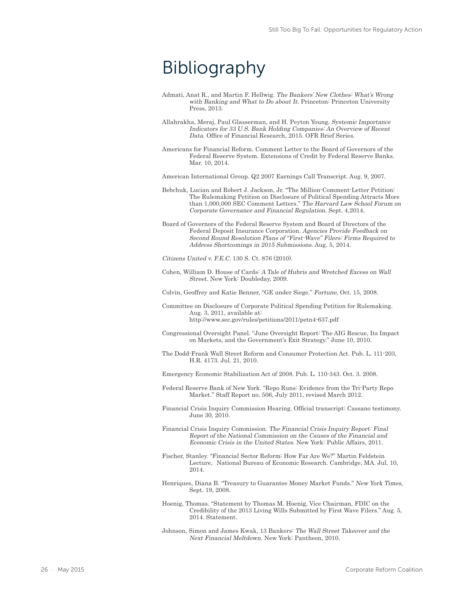## Bibliography

- Admati, Anat R., and Martin F. Hellwig. The Bankers' New Clothes: What's Wrong with Banking and What to Do about It. Princeton: Princeton University Press, 2013.
- Allahrakha, Meraj, Paul Glasserman, and H. Peyton Young. Systemic Importance Indicators for 33 U.S. Bank Holding Companies: An Overview of Recent Data. Office of Financial Research, 2015. OFR Brief Series.
- Americans for Financial Reform. Comment Letter to the Board of Governors of the Federal Reserve System. Extensions of Credit by Federal Reserve Banks. Mar. 10, 2014.

American International Group. Q2 2007 Earnings Call Transcript. Aug. 9, 2007.

- Bebchuk, Lucian and Robert J. Jackson, Jr. "The Million-Comment-Letter Petition: The Rulemaking Petition on Disclosure of Political Spending Attracts More than 1,000,000 SEC Comment Letters." The Harvard Law School Forum on Corporate Governance and Financial Regulation. Sept. 4,2014.
- Board of Governors of the Federal Reserve System and Board of Directors of the Federal Deposit Insurance Corporation. Agencies Provide Feedback on Second Round Resolution Plans of "First-Wave" Filers: Firms Required to Address Shortcomings in 2015 Submissions. Aug. 5, 2014.
- Citizens United v. F.E.C. 130 S. Ct. 876 (2010).
- Cohen, William D. House of Cards: A Tale of Hubris and Wretched Excess on Wall Street. New York: Doubleday, 2009.

Colvin, Geoffrey and Katie Benner, "GE under Siege." Fortune, Oct. 15, 2008.

- Committee on Disclosure of Corporate Political Spending Petition for Rulemaking. Aug. 3, 2011, available at: http://www.sec.gov/rules/petitions/2011/petn4-637.pdf
- Congressional Oversight Panel. "June Oversight Report: The AIG Rescue, Its Impact on Markets, and the Government's Exit Strategy." June 10, 2010.
- The Dodd-Frank Wall Street Reform and Consumer Protection Act. Pub. L. 111-203, H.R. 4173. Jul. 21, 2010.

Emergency Economic Stabilization Act of 2008. Pub. L. 110-343. Oct. 3. 2008.

- Federal Reserve Bank of New York. "Repo Runs: Evidence from the Tri-Party Repo Market." Staff Report no. 506, July 2011, revised March 2012.
- Financial Crisis Inquiry Commission Hearing. Official transcript: Cassano testimony. June 30, 2010.
- Financial Crisis Inquiry Commission. The Financial Crisis Inquiry Report: Final Report of the National Commission on the Causes of the Financial and Economic Crisis in the United States. New York: Public Affairs, 2011.
- Fischer, Stanley. "Financial Sector Reform: How Far Are We?" Martin Feldstein Lecture, National Bureau of Economic Research. Cambridge, MA. Jul. 10, 2014.
- Henriques, Diana B. "Treasury to Guarantee Money Market Funds." New York Times, Sept. 19, 2008.
- Hoenig, Thomas. "Statement by Thomas M. Hoenig, Vice Chairman, FDIC on the Credibility of the 2013 Living Wills Submitted by First Wave Filers." Aug. 5, 2014. Statement.
- Johnson, Simon and James Kwak, 13 Bankers: The Wall Street Takeover and the Next Financial Meltdown. New York: Pantheon, 2010.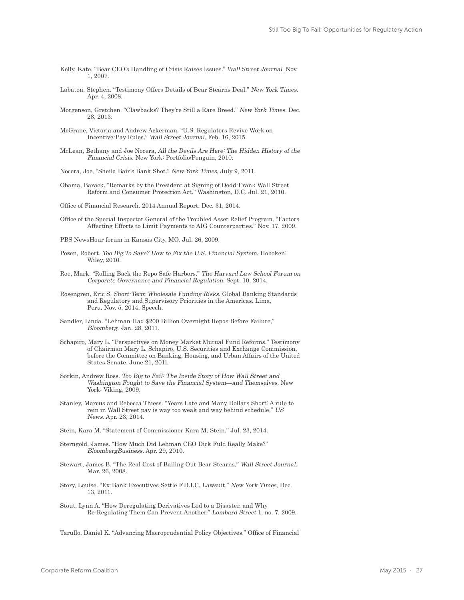- Kelly, Kate. "Bear CEO's Handling of Crisis Raises Issues." Wall Street Journal. Nov. 1, 2007.
- Labaton, Stephen. "Testimony Offers Details of Bear Stearns Deal." New York Times. Apr. 4, 2008.
- Morgenson, Gretchen. "Clawbacks? They're Still a Rare Breed." New York Times. Dec. 28, 2013.
- McGrane, Victoria and Andrew Ackerman. "U.S. Regulators Revive Work on Incentive-Pay Rules." Wall Street Journal. Feb. 16, 2015.
- McLean, Bethany and Joe Nocera, All the Devils Are Here: The Hidden History of the Financial Crisis. New York: Portfolio/Penguin, 2010.
- Nocera, Joe. "Sheila Bair's Bank Shot." New York Times, July 9, 2011.
- Obama, Barack. "Remarks by the President at Signing of Dodd-Frank Wall Street Reform and Consumer Protection Act." Washington, D.C. Jul. 21, 2010.
- Office of Financial Research. 2014 Annual Report. Dec. 31, 2014.
- Office of the Special Inspector General of the Troubled Asset Relief Program. "Factors Affecting Efforts to Limit Payments to AIG Counterparties." Nov. 17, 2009.
- PBS NewsHour forum in Kansas City, MO. Jul. 26, 2009.
- Pozen, Robert. Too Big To Save? How to Fix the U.S. Financial System. Hoboken: Wiley, 2010.
- Roe, Mark. "Rolling Back the Repo Safe Harbors." The Harvard Law School Forum on Corporate Governance and Financial Regulation. Sept. 10, 2014.
- Rosengren, Eric S. Short-Term Wholesale Funding Risks. Global Banking Standards and Regulatory and Supervisory Priorities in the Americas. Lima, Peru. Nov. 5, 2014. Speech.
- Sandler, Linda. "Lehman Had \$200 Billion Overnight Repos Before Failure," Bloomberg. Jan. 28, 2011.
- Schapiro, Mary L. "Perspectives on Money Market Mutual Fund Reforms." Testimony of Chairman Mary L. Schapiro, U.S. Securities and Exchange Commission, before the Committee on Banking, Housing, and Urban Affairs of the United States Senate. June 21, 201l.
- Sorkin, Andrew Ross. Too Big to Fail: The Inside Story of How Wall Street and Washington Fought to Save the Financial System—and Themselves. New York: Viking, 2009.
- Stanley, Marcus and Rebecca Thiess. "Years Late and Many Dollars Short: A rule to rein in Wall Street pay is way too weak and way behind schedule." US News. Apr. 23, 2014.
- Stein, Kara M. "Statement of Commissioner Kara M. Stein." Jul. 23, 2014.
- Sterngold, James. "How Much Did Lehman CEO Dick Fuld Really Make?" BloombergBusiness. Apr. 29, 2010.
- Stewart, James B. "The Real Cost of Bailing Out Bear Stearns." Wall Street Journal. Mar. 26, 2008.
- Story, Louise. "Ex-Bank Executives Settle F.D.I.C. Lawsuit." New York Times, Dec. 13, 2011.
- Stout, Lynn A. "How Deregulating Derivatives Led to a Disaster, and Why Re-Regulating Them Can Prevent Another." Lombard Street 1, no. 7. 2009.

Tarullo, Daniel K. "Advancing Macroprudential Policy Objectives." Office of Financial